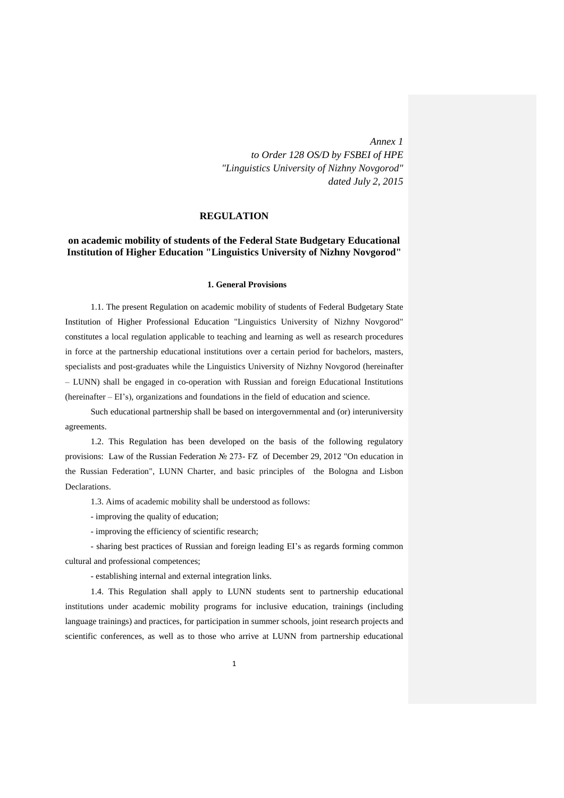*Annex 1 to Order 128 OS/D by FSBEI of HPE*  *"Linguistics University of Nizhny Novgorod" dated July 2, 2015* 

#### **REGULATION**

### **on academic mobility of students of the Federal State Budgetary Educational Institution of Higher Education "Linguistics University of Nizhny Novgorod"**

#### **1. General Provisions**

1.1. The present Regulation on academic mobility of students of Federal Budgetary State Institution of Higher Professional Education "Linguistics University of Nizhny Novgorod" constitutes a local regulation applicable to teaching and learning as well as research procedures in force at the partnership educational institutions over a certain period for bachelors, masters, specialists and post-graduates while the Linguistics University of Nizhny Novgorod (hereinafter – LUNN) shall be engaged in co-operation with Russian and foreign Educational Institutions (hereinafter – EI's), organizations and foundations in the field of education and science.

Such educational partnership shall be based on intergovernmental and (or) interuniversity agreements.

1.2. This Regulation has been developed on the basis of the following regulatory provisions: Law of the Russian Federation № 273- FZ of December 29, 2012 "On education in the Russian Federation", LUNN Charter, and basic principles of the Bologna and Lisbon Declarations.

1.3. Aims of academic mobility shall be understood as follows:

- improving the quality of education;

- improving the efficiency of scientific research;

- sharing best practices of Russian and foreign leading EI's as regards forming common cultural and professional competences;

- establishing internal and external integration links.

1.4. This Regulation shall apply to LUNN students sent to partnership educational institutions under academic mobility programs for inclusive education, trainings (including language trainings) and practices, for participation in summer schools, joint research projects and scientific conferences, as well as to those who arrive at LUNN from partnership educational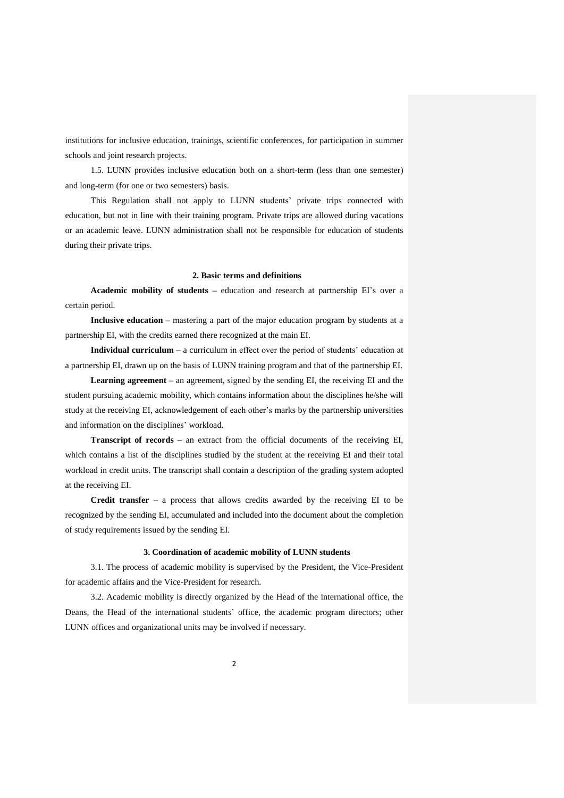institutions for inclusive education, trainings, scientific conferences, for participation in summer schools and joint research projects.

1.5. LUNN provides inclusive education both on a short-term (less than one semester) and long-term (for one or two semesters) basis.

This Regulation shall not apply to LUNN students' private trips connected with education, but not in line with their training program. Private trips are allowed during vacations or an academic leave. LUNN administration shall not be responsible for education of students during their private trips.

#### **2. Basic terms and definitions**

**Academic mobility of students –** education and research at partnership EI's over a certain period.

**Inclusive education –** mastering a part of the major education program by students at a partnership EI, with the credits earned there recognized at the main EI.

**Individual curriculum –** a curriculum in effect over the period of students' education at a partnership EI, drawn up on the basis of LUNN training program and that of the partnership EI.

**Learning agreement** – an agreement, signed by the sending EI, the receiving EI and the student pursuing academic mobility, which contains information about the disciplines he/she will study at the receiving EI, acknowledgement of each other's marks by the partnership universities and information on the disciplines' workload.

**Transcript of records –** an extract from the official documents of the receiving EI, which contains a list of the disciplines studied by the student at the receiving EI and their total workload in credit units. The transcript shall contain a description of the grading system adopted at the receiving EI.

**Credit transfer –** a process that allows credits awarded by the receiving EI to be recognized by the sending EI, accumulated and included into the document about the completion of study requirements issued by the sending EI.

#### **3. Coordination of academic mobility of LUNN students**

3.1. The process of academic mobility is supervised by the President, the Vice-President for academic affairs and the Vice-President for research.

3.2. Academic mobility is directly organized by the Head of the international office, the Deans, the Head of the international students' office, the academic program directors; other LUNN offices and organizational units may be involved if necessary.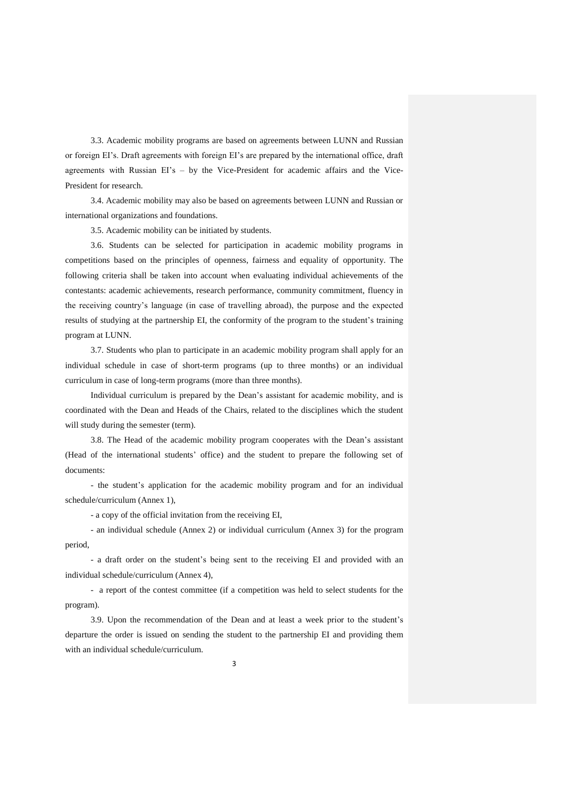3.3. Academic mobility programs are based on agreements between LUNN and Russian or foreign EI's. Draft agreements with foreign EI's are prepared by the international office, draft agreements with Russian EI's – by the Vice-President for academic affairs and the Vice-President for research.

3.4. Academic mobility may also be based on agreements between LUNN and Russian or international organizations and foundations.

3.5. Academic mobility can be initiated by students.

3.6. Students can be selected for participation in academic mobility programs in competitions based on the principles of openness, fairness and equality of opportunity. The following criteria shall be taken into account when evaluating individual achievements of the contestants: academic achievements, research performance, community commitment, fluency in the receiving country's language (in case of travelling abroad), the purpose and the expected results of studying at the partnership EI, the conformity of the program to the student's training program at LUNN.

3.7. Students who plan to participate in an academic mobility program shall apply for an individual schedule in case of short-term programs (up to three months) or an individual curriculum in case of long-term programs (more than three months).

Individual curriculum is prepared by the Dean's assistant for academic mobility, and is coordinated with the Dean and Heads of the Chairs, related to the disciplines which the student will study during the semester (term).

3.8. The Head of the academic mobility program cooperates with the Dean's assistant (Head of the international students' office) and the student to prepare the following set of documents:

- the student's application for the academic mobility program and for an individual schedule/curriculum (Annex 1),

- a copy of the official invitation from the receiving EI,

- an individual schedule (Annex 2) or individual curriculum (Annex 3) for the program period,

- a draft order on the student's being sent to the receiving EI and provided with an individual schedule/curriculum (Annex 4),

- a report of the contest committee (if a competition was held to select students for the program).

3.9. Upon the recommendation of the Dean and at least a week prior to the student's departure the order is issued on sending the student to the partnership EI and providing them with an individual schedule/curriculum.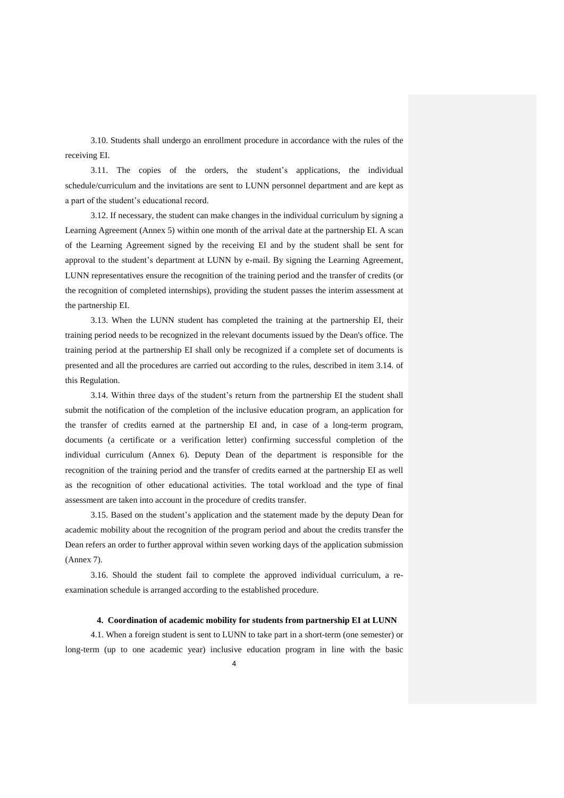3.10. Students shall undergo an enrollment procedure in accordance with the rules of the receiving EI.

3.11. The copies of the orders, the student's applications, the individual schedule/curriculum and the invitations are sent to LUNN personnel department and are kept as a part of the student's educational record.

3.12. If necessary, the student can make changes in the individual curriculum by signing a Learning Agreement (Annex 5) within one month of the arrival date at the partnership EI. A scan of the Learning Agreement signed by the receiving EI and by the student shall be sent for approval to the student's department at LUNN by e-mail. By signing the Learning Agreement, LUNN representatives ensure the recognition of the training period and the transfer of credits (or the recognition of completed internships), providing the student passes the interim assessment at the partnership EI.

3.13. When the LUNN student has completed the training at the partnership EI, their training period needs to be recognized in the relevant documents issued by the Dean's office. The training period at the partnership EI shall only be recognized if a complete set of documents is presented and all the procedures are carried out according to the rules, described in item 3.14. of this Regulation.

3.14. Within three days of the student's return from the partnership EI the student shall submit the notification of the completion of the inclusive education program, an application for the transfer of credits earned at the partnership EI and, in case of a long-term program, documents (a certificate or a verification letter) confirming successful completion of the individual curriculum (Annex 6). Deputy Dean of the department is responsible for the recognition of the training period and the transfer of credits earned at the partnership EI as well as the recognition of other educational activities. The total workload and the type of final assessment are taken into account in the procedure of credits transfer.

3.15. Based on the student's application and the statement made by the deputy Dean for academic mobility about the recognition of the program period and about the credits transfer the Dean refers an order to further approval within seven working days of the application submission (Annex 7).

3.16. Should the student fail to complete the approved individual curriculum, a reexamination schedule is arranged according to the established procedure.

#### **4. Coordination of academic mobility for students from partnership EI at LUNN**

4.1. When a foreign student is sent to LUNN to take part in a short-term (one semester) or long-term (up to one academic year) inclusive education program in line with the basic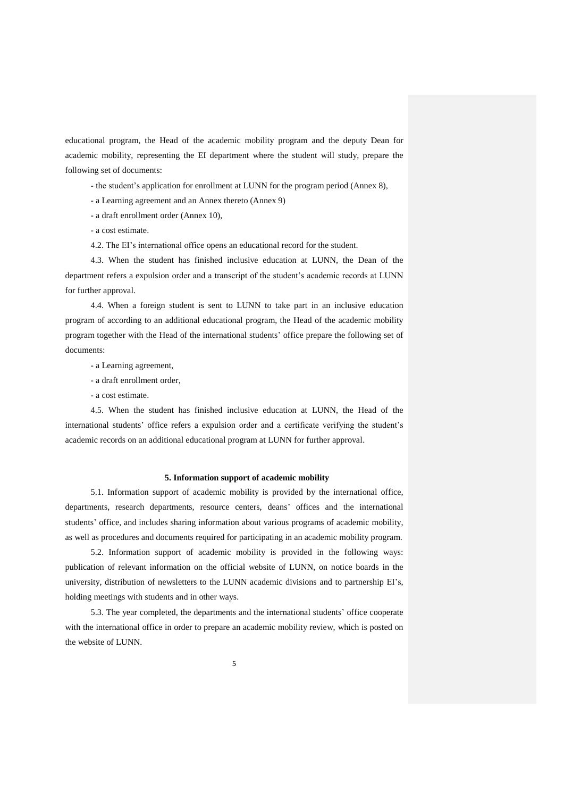educational program, the Head of the academic mobility program and the deputy Dean for academic mobility, representing the EI department where the student will study, prepare the following set of documents:

- the student's application for enrollment at LUNN for the program period (Annex 8),

- a Learning agreement and an Annex thereto (Annex 9)

- a draft enrollment order (Annex 10),

- a cost estimate.

4.2. The EI's international office opens an educational record for the student.

4.3. When the student has finished inclusive education at LUNN, the Dean of the department refers a expulsion order and a transcript of the student's academic records at LUNN for further approval.

4.4. When a foreign student is sent to LUNN to take part in an inclusive education program of according to an additional educational program, the Head of the academic mobility program together with the Head of the international students' office prepare the following set of documents:

- a Learning agreement,

- a draft enrollment order,

- a cost estimate.

4.5. When the student has finished inclusive education at LUNN, the Head of the international students' office refers a expulsion order and a certificate verifying the student's academic records on an additional educational program at LUNN for further approval.

#### **5. Information support of academic mobility**

5.1. Information support of academic mobility is provided by the international office, departments, research departments, resource centers, deans' offices and the international students' office, and includes sharing information about various programs of academic mobility, as well as procedures and documents required for participating in an academic mobility program.

5.2. Information support of academic mobility is provided in the following ways: publication of relevant information on the official website of LUNN, on notice boards in the university, distribution of newsletters to the LUNN academic divisions and to partnership EI's, holding meetings with students and in other ways.

5.3. The year completed, the departments and the international students' office cooperate with the international office in order to prepare an academic mobility review, which is posted on the website of LUNN.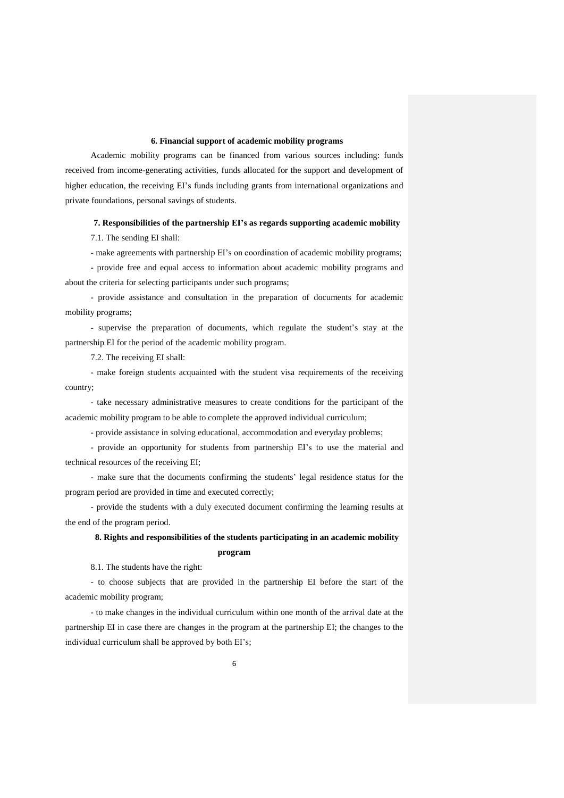#### **6. Financial support of academic mobility programs**

Academic mobility programs can be financed from various sources including: funds received from income-generating activities, funds allocated for the support and development of higher education, the receiving EI's funds including grants from international organizations and private foundations, personal savings of students.

#### **7. Responsibilities of the partnership EI's as regards supporting academic mobility**

7.1. The sending EI shall:

- make agreements with partnership EI's on coordination of academic mobility programs;

- provide free and equal access to information about academic mobility programs and about the criteria for selecting participants under such programs;

- provide assistance and consultation in the preparation of documents for academic mobility programs;

- supervise the preparation of documents, which regulate the student's stay at the partnership EI for the period of the academic mobility program.

7.2. The receiving EI shall:

- make foreign students acquainted with the student visa requirements of the receiving country;

- take necessary administrative measures to create conditions for the participant of the academic mobility program to be able to complete the approved individual curriculum;

- provide assistance in solving educational, accommodation and everyday problems;

- provide an opportunity for students from partnership EI's to use the material and technical resources of the receiving EI;

- make sure that the documents confirming the students' legal residence status for the program period are provided in time and executed correctly;

- provide the students with a duly executed document confirming the learning results at the end of the program period.

# **8. Rights and responsibilities of the students participating in an academic mobility program**

8.1. The students have the right:

- to choose subjects that are provided in the partnership EI before the start of the academic mobility program;

- to make changes in the individual curriculum within one month of the arrival date at the partnership EI in case there are changes in the program at the partnership EI; the changes to the individual curriculum shall be approved by both EI's;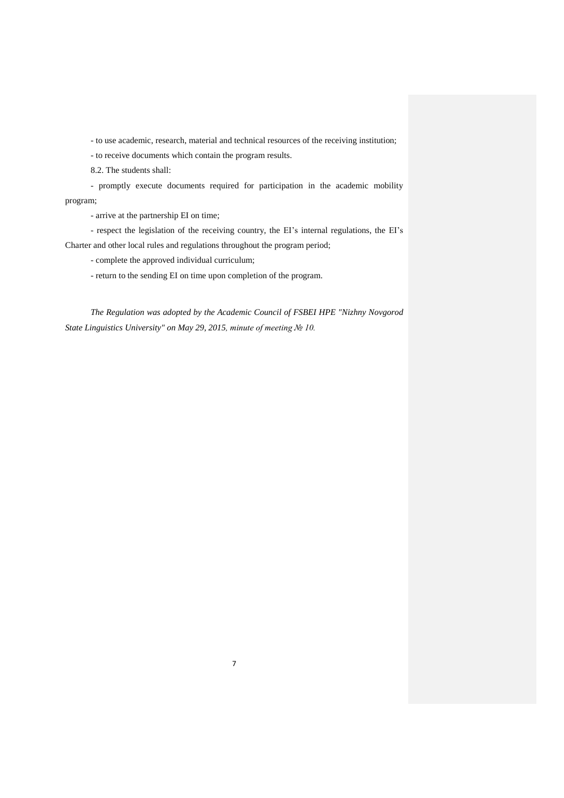- to use academic, research, material and technical resources of the receiving institution;

- to receive documents which contain the program results.

8.2. The students shall:

- promptly execute documents required for participation in the academic mobility program;

- arrive at the partnership EI on time;

- respect the legislation of the receiving country, the EI's internal regulations, the EI's Charter and other local rules and regulations throughout the program period;

- complete the approved individual curriculum;

- return to the sending EI on time upon completion of the program.

*The Regulation was adopted by the Academic Council of FSBEI HPE "Nizhny Novgorod State Linguistics University" on May 29, 2015, minute of meeting № 10.*

7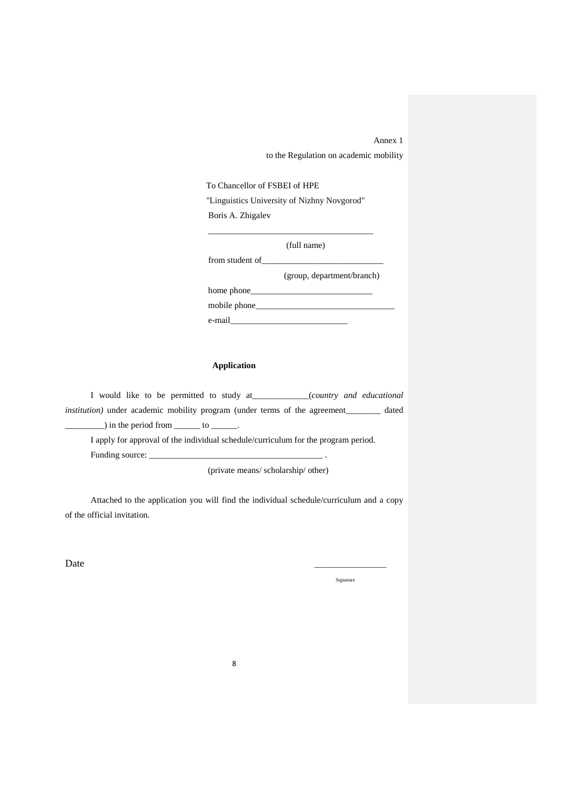Annex 1

to the Regulation on academic mobility

To Chancellor of FSBEI of HPE

"Linguistics University of Nizhny Novgorod" Boris A. Zhigalev

\_\_\_\_\_\_\_\_\_\_\_\_\_\_\_\_\_\_\_\_\_\_\_\_\_\_\_\_\_\_\_\_\_\_\_\_\_\_

(full name)

(group, department/branch)

home phone\_ mobile phone\_\_\_\_\_\_\_\_\_\_\_\_\_\_\_\_\_\_\_\_\_\_\_\_\_\_\_\_\_\_\_\_

from student of\_\_\_\_\_\_\_\_\_\_\_\_\_\_\_\_\_\_\_\_\_\_\_\_\_\_\_\_

e-mail\_\_\_\_\_\_\_\_\_\_\_\_\_\_\_\_\_\_\_\_\_\_\_\_\_\_\_

#### **Application**

I would like to be permitted to study at\_\_\_\_\_\_\_\_\_\_\_\_\_(*country and educational institution*) under academic mobility program (under terms of the agreement dated  $\Box$ ) in the period from  $\Box$  to  $\Box$ .

I apply for approval of the individual schedule/curriculum for the program period. Funding source: \_\_\_\_\_\_\_\_\_\_\_\_\_\_\_\_\_\_\_\_\_\_\_\_\_\_\_\_\_\_\_\_\_\_\_\_\_\_\_\_ .

(private means/ scholarship/ other)

Attached to the application you will find the individual schedule/curriculum and a copy of the official invitation.

Date  $\qquad \qquad \qquad$ 

Signature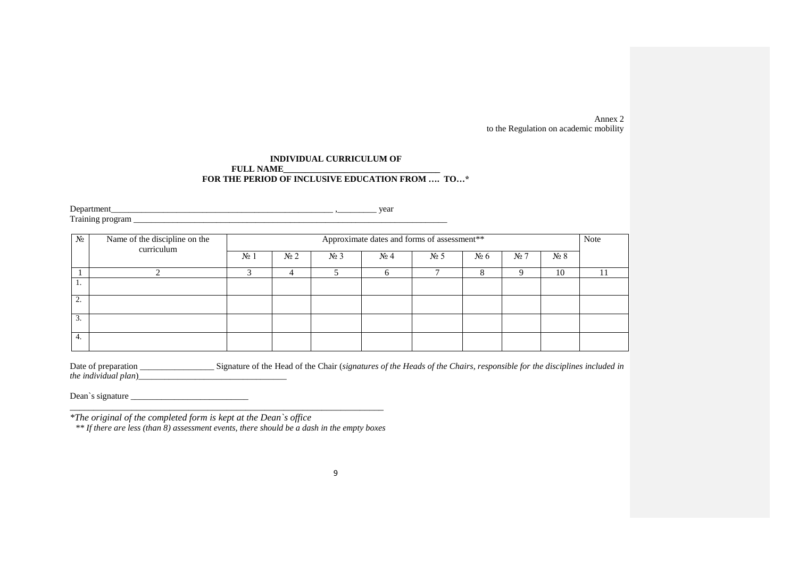Annex 2 to the Regulation on academic mobility

#### **INDIVIDUAL CURRICULUM OF**<br>**FULL NAME FULL NAME\_\_\_\_\_\_\_\_\_\_\_\_\_\_\_\_\_\_\_\_\_\_\_\_\_\_\_\_\_\_\_\_\_\_\_\_ FOR THE PERIOD OF INCLUSIVE EDUCATION FROM …. TO…\***

Department\_\_\_\_\_\_\_\_\_\_\_\_\_\_\_\_\_\_\_\_\_\_\_\_\_\_\_\_\_\_\_\_\_\_\_\_\_\_\_\_\_\_\_\_\_\_\_\_\_\_\_ ,\_\_\_\_\_\_\_\_\_ year  $T_{\text{raining program}}$   $\frac{1}{\sqrt{1-\frac{1}{2}}\sqrt{1-\frac{1}{2}}\sqrt{1-\frac{1}{2}}\sqrt{1-\frac{1}{2}}\sqrt{1-\frac{1}{2}}\sqrt{1-\frac{1}{2}}\sqrt{1-\frac{1}{2}}\sqrt{1-\frac{1}{2}}\sqrt{1-\frac{1}{2}}\sqrt{1-\frac{1}{2}}\sqrt{1-\frac{1}{2}}\sqrt{1-\frac{1}{2}}\sqrt{1-\frac{1}{2}}\sqrt{1-\frac{1}{2}}\sqrt{1-\frac{1}{2}}\sqrt{1-\frac{1}{2}}\sqrt{1-\frac{1}{2}}\sqrt{1-\frac{1}{2}}\sqrt{1-\$ 

| $N_2$        | Name of the discipline on the |        |                |         |                        | Approximate dates and forms of assessment** |         |                |         | Note |
|--------------|-------------------------------|--------|----------------|---------|------------------------|---------------------------------------------|---------|----------------|---------|------|
|              | curriculum                    | $N2$ 1 | N <sub>2</sub> | $N_2$ 3 | $\mathbb{N}^{\circ}$ 4 | $N2$ 5                                      | $N_2$ 6 | N <sub>2</sub> | $N_2$ 8 |      |
|              |                               |        |                |         |                        |                                             | 8       |                | 10      | 11   |
| 1.           |                               |        |                |         |                        |                                             |         |                |         |      |
| $\sim$<br>۷. |                               |        |                |         |                        |                                             |         |                |         |      |
| 3.           |                               |        |                |         |                        |                                             |         |                |         |      |
| 4.           |                               |        |                |         |                        |                                             |         |                |         |      |

| Date of preparation          | Signature of the Head of the Chair (signatures of the Heads of the Chairs, responsible for the disciplines included in |
|------------------------------|------------------------------------------------------------------------------------------------------------------------|
| <i>the individual plan</i> ) |                                                                                                                        |

Dean`s signature \_\_\_\_\_\_\_\_\_\_\_\_\_\_\_\_\_\_\_\_\_\_\_\_\_\_\_

*\*The original of the completed form is kept at the Dean`s office*

*\*\* If there are less (than 8) assessment events, there should be a dash in the empty boxes*

\_\_\_\_\_\_\_\_\_\_\_\_\_\_\_\_\_\_\_\_\_\_\_\_\_\_\_\_\_\_\_\_\_\_\_\_\_\_\_\_\_\_\_\_\_\_\_\_\_\_\_\_\_\_\_\_\_\_\_\_\_\_\_\_\_\_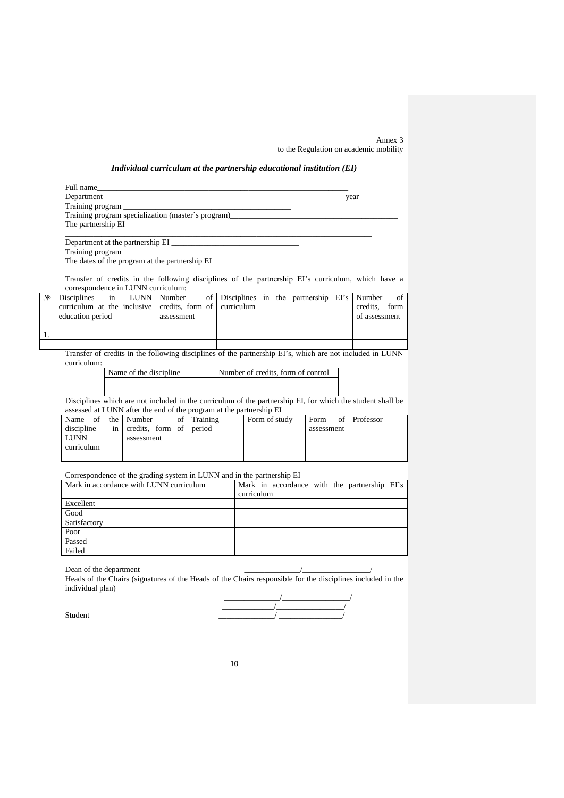Annex 3 to the Regulation on academic mobility

#### *Individual curriculum at the partnership educational institution (EI)*

| Full name                                          |      |
|----------------------------------------------------|------|
| Department                                         | year |
| Training program                                   |      |
| Training program specialization (master's program) |      |
| The partnership EI                                 |      |
|                                                    |      |

Department at the partnership EI Training program The dates of the program at the partnership EI\_

Transfer of credits in the following disciplines of the partnership EI's curriculum, which have a correspondence in LUNN curriculum:

|  | $\mathcal{N}_{\mathbb{R}}$ Disciplines in LUNN Number of Disciplines in the partnership EI's Number of |  |            |  |  |  |               |  |
|--|--------------------------------------------------------------------------------------------------------|--|------------|--|--|--|---------------|--|
|  | curriculum at the inclusive credits, form of curriculum                                                |  |            |  |  |  | credits. form |  |
|  | education period                                                                                       |  | assessment |  |  |  | of assessment |  |
|  |                                                                                                        |  |            |  |  |  |               |  |
|  |                                                                                                        |  |            |  |  |  |               |  |
|  |                                                                                                        |  |            |  |  |  |               |  |

Transfer of credits in the following disciplines of the partnership EI's, which are not included in LUNN curriculum:

| Name of the discipline. | Number of credits, form of control |
|-------------------------|------------------------------------|
|                         |                                    |
|                         |                                    |

Disciplines which are not included in the curriculum of the partnership EI, for which the student shall be assessed at LUNN after the end of the program at the partnership EI

| Name of the Number |                            | of 1 | Training | Form of study | Form of Professor |  |
|--------------------|----------------------------|------|----------|---------------|-------------------|--|
| discipline         | in credits, form of period |      |          |               | assessment        |  |
| LUNN               | assessment                 |      |          |               |                   |  |
| curriculum         |                            |      |          |               |                   |  |
|                    |                            |      |          |               |                   |  |

Correspondence of the grading system in LUNN and in the partnership EI

| Mark in accordance with LUNN curriculum | Mark in accordance with the partnership EI's |
|-----------------------------------------|----------------------------------------------|
|                                         | curriculum                                   |
| Excellent                               |                                              |
| Good                                    |                                              |
| Satisfactory                            |                                              |
| Poor                                    |                                              |
| Passed                                  |                                              |
| Failed                                  |                                              |

Dean of the department  $\frac{1}{2}$ 

Heads of the Chairs (signatures of the Heads of the Chairs responsible for the disciplines included in the individual plan)

 $\frac{1}{2}$  , and the set of the set of the set of the set of the set of the set of the set of the set of the set of the set of the set of the set of the set of the set of the set of the set of the set of the set of the set  $\overline{\phantom{a}}$  , and the contract of the contract of the contract of the contract of the contract of the contract of the contract of the contract of the contract of the contract of the contract of the contract of the contrac Student  $\frac{1}{2}$  and  $\frac{1}{2}$  and  $\frac{1}{2}$  and  $\frac{1}{2}$  and  $\frac{1}{2}$  and  $\frac{1}{2}$  and  $\frac{1}{2}$  and  $\frac{1}{2}$  and  $\frac{1}{2}$  and  $\frac{1}{2}$  and  $\frac{1}{2}$  and  $\frac{1}{2}$  and  $\frac{1}{2}$  and  $\frac{1}{2}$  and  $\frac{1}{2}$  and  $\frac$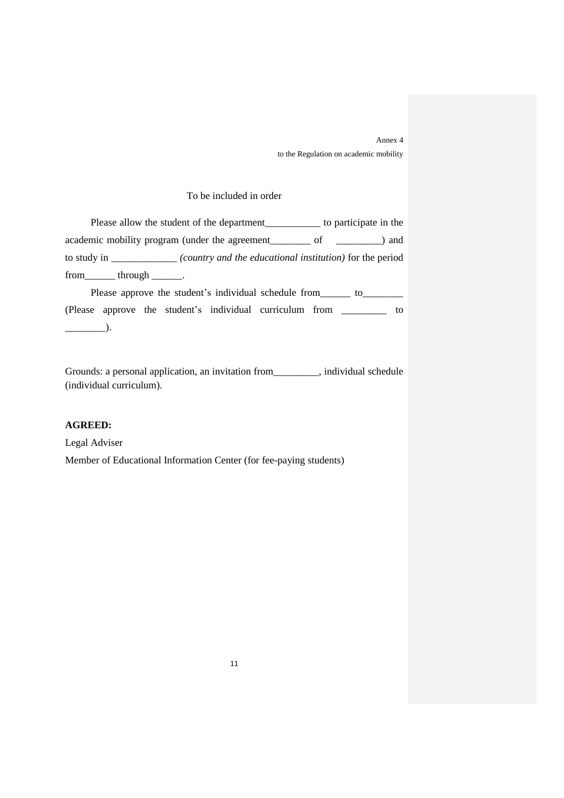Annex 4 to the Regulation on academic mobility

# To be included in order

Please allow the student of the department\_\_\_\_\_\_\_\_\_\_\_\_\_ to participate in the academic mobility program (under the agreement\_\_\_\_\_\_\_\_\_\_\_ of \_\_\_\_\_\_\_\_\_) and to study in \_\_\_\_\_\_\_\_\_\_\_\_\_ *(country and the educational institution)* for the period from\_\_\_\_\_\_\_ through \_\_\_\_\_\_\_.

Please approve the student's individual schedule from\_\_\_\_\_\_\_ to\_\_\_\_\_\_\_\_\_\_ (Please approve the student's individual curriculum from \_\_\_\_\_\_\_\_\_ to  $\qquad \qquad$ 

Grounds: a personal application, an invitation from\_\_\_\_\_\_\_\_\_, individual schedule (individual curriculum).

## **AGREED:**

Legal Adviser Member of Educational Information Center (for fee-paying students)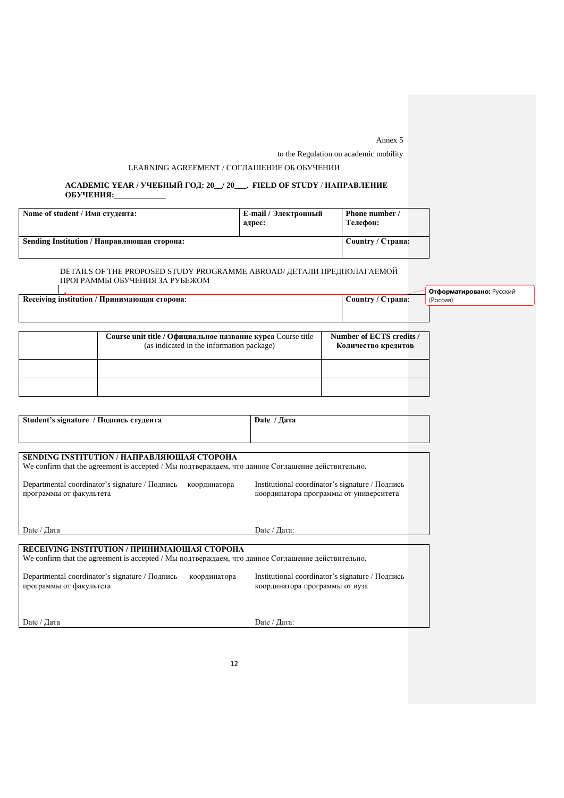Annex 5

to the Regulation on academic mobility

#### LEARNING AGREEMENT / СОГЛАШЕНИЕ ОБ ОБУЧЕНИИ

#### **ACADEMIC YEAR / УЧЕБНЫЙ ГОД: 20\_\_/ 20\_\_\_. FIELD OF STUDY** / **НАПРАВЛЕНИЕ ОБУЧЕНИЯ:\_\_\_\_\_\_\_\_\_\_\_\_\_**

| Name of student / Имя студента:             | E-mail / Электронный<br>адрес: | Phone number /<br>Телефон: |  |
|---------------------------------------------|--------------------------------|----------------------------|--|
| Sending Institution / Направляющая сторона: |                                | Country / Страна:          |  |

# DETAILS OF THE PROPOSED STUDY PROGRAMME ABROAD/ ДЕТАЛИ ПРЕДПОЛАГАЕМОЙ ПРОГРАММЫ ОБУЧЕНИЯ ЗА РУБЕЖОМ

| Receiving institution / Принимающая сторона:                                                             | Country / Страна:                               | Отформатировано: Русский<br>(Россия) |
|----------------------------------------------------------------------------------------------------------|-------------------------------------------------|--------------------------------------|
|                                                                                                          |                                                 |                                      |
| Course unit title / Официальное название курса Course title<br>(as indicated in the information package) | Number of ECTS credits /<br>Количество кредитов |                                      |

| Student's signature / Подпись студента                                                                                                           | Date $/\sqrt{a}$                                                                          |
|--------------------------------------------------------------------------------------------------------------------------------------------------|-------------------------------------------------------------------------------------------|
| SENDING INSTITUTION / НАПРАВЛЯЮЩАЯ СТОРОНА<br>We confirm that the agreement is accepted / Мы подтверждаем, что данное Соглашение действительно.  |                                                                                           |
| Departmental coordinator's signature / Подпись<br>координатора<br>программы от факультета                                                        | Institutional coordinator's signature / Подпись<br>координатора программы от университета |
| Date / Дата                                                                                                                                      | Date / Дата:                                                                              |
| RECEIVING INSTITUTION / ПРИНИМАЮЩАЯ СТОРОНА<br>We confirm that the agreement is accepted / Мы подтверждаем, что данное Соглашение действительно. |                                                                                           |
| Departmental coordinator's signature / Подпись<br>координатора<br>программы от факультета                                                        | Institutional coordinator's signature / Подпись<br>координатора программы от вуза         |
| Date / Дата                                                                                                                                      | Date / Дата:                                                                              |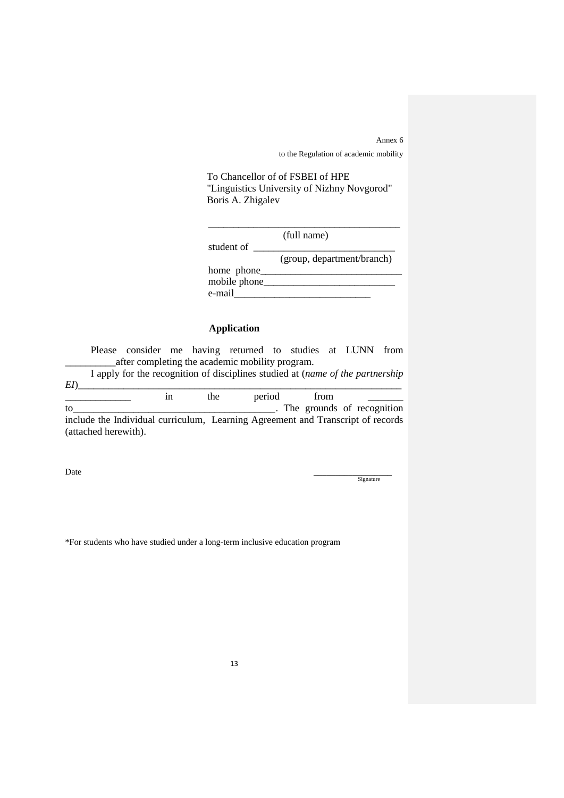Annex 6 to the Regulation of academic mobility

 To Chancellor of of FSBEI of HPE "Linguistics University of Nizhny Novgorod" Boris A. Zhigalev

|              | (full name)                |
|--------------|----------------------------|
| student of   |                            |
|              | (group, department/branch) |
| home phone   |                            |
| mobile phone |                            |
| e-mail       |                            |

# **Application**

Please consider me having returned to studies at LUNN from \_\_\_\_\_\_\_\_\_\_after completing the academic mobility program.

I apply for the recognition of disciplines studied at (*name of the partnership*   $E I$ )

 $\frac{1}{2}$  in the period from  $\frac{1}{2}$ to\_\_\_\_\_\_\_\_\_\_\_\_\_\_\_\_\_\_\_\_\_\_\_\_\_\_\_\_\_\_\_\_\_\_\_\_\_\_\_\_. The grounds of recognition

include the Individual curriculum, Learning Agreement and Transcript of records (attached herewith).

Date \_\_\_\_\_\_\_\_\_\_\_\_\_\_\_\_\_\_ **Signature** 

\*For students who have studied under a long-term inclusive education program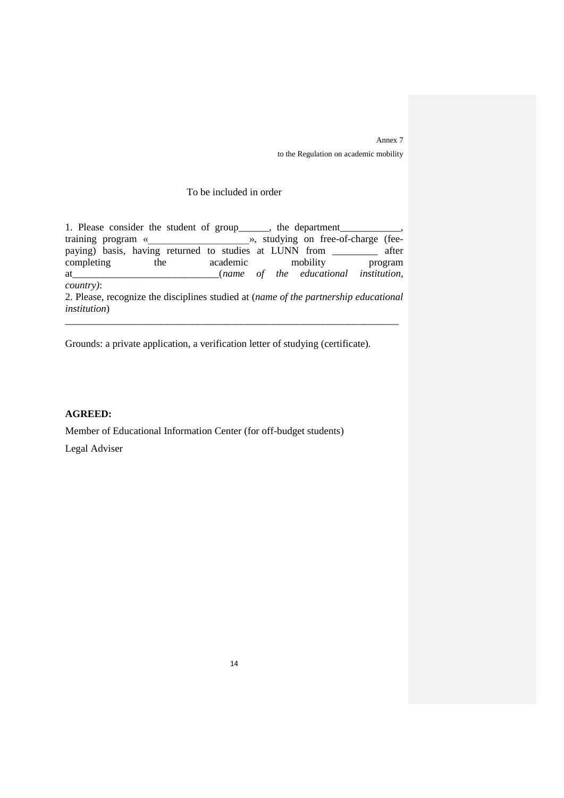Annex 7 to the Regulation on academic mobility

### To be included in order

1. Please consider the student of group\_\_\_\_\_\_, the department\_ training program « we will be a studying on free-of-charge (feepaying) basis, having returned to studies at LUNN from \_\_\_\_\_\_\_\_\_ after completing the academic mobility program at\_\_\_\_\_\_\_\_\_\_\_\_\_\_\_\_\_\_\_\_\_\_\_\_\_\_\_\_\_(*name of the educational institution, country)*: 2. Please, recognize the disciplines studied at (*name of the partnership educational institution*)

\_\_\_\_\_\_\_\_\_\_\_\_\_\_\_\_\_\_\_\_\_\_\_\_\_\_\_\_\_\_\_\_\_\_\_\_\_\_\_\_\_\_\_\_\_\_\_\_\_\_\_\_\_\_\_\_\_\_\_\_\_\_\_\_\_\_

Grounds: a private application, a verification letter of studying (certificate).

# **AGREED:**

Member of Educational Information Center (for off-budget students)

Legal Adviser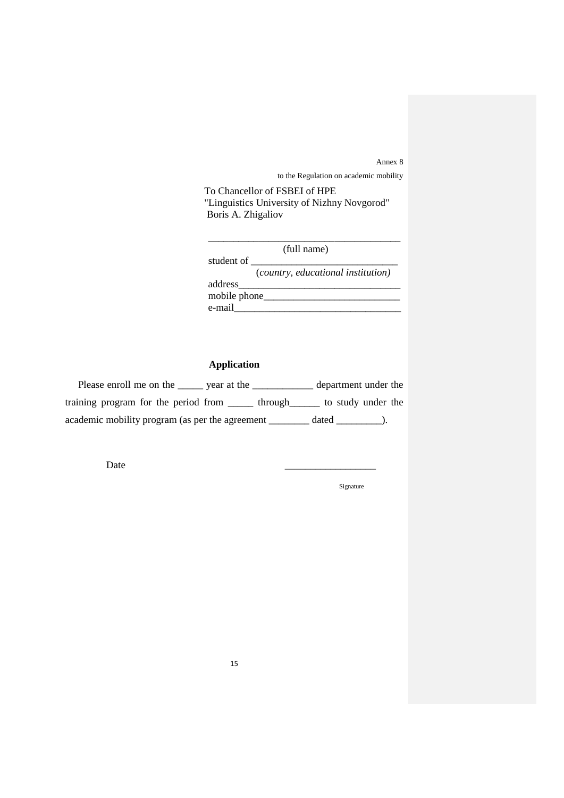Annex 8 to the Regulation on academic mobility

 To Chancellor of FSBEI of HPE "Linguistics University of Nizhny Novgorod" Boris A. Zhigaliov

|              | (full name)                        |
|--------------|------------------------------------|
| student of   |                                    |
|              | (country, educational institution) |
| address      |                                    |
| mobile phone |                                    |
| e-mail       |                                    |

# **Application**

| Please enroll me on the<br>year at the          | department under the |  |
|-------------------------------------------------|----------------------|--|
| training program for the period from<br>through | to study under the   |  |
| academic mobility program (as per the agreement | dated                |  |

Date \_\_\_\_\_\_\_\_\_\_\_\_\_\_\_\_\_\_

Signature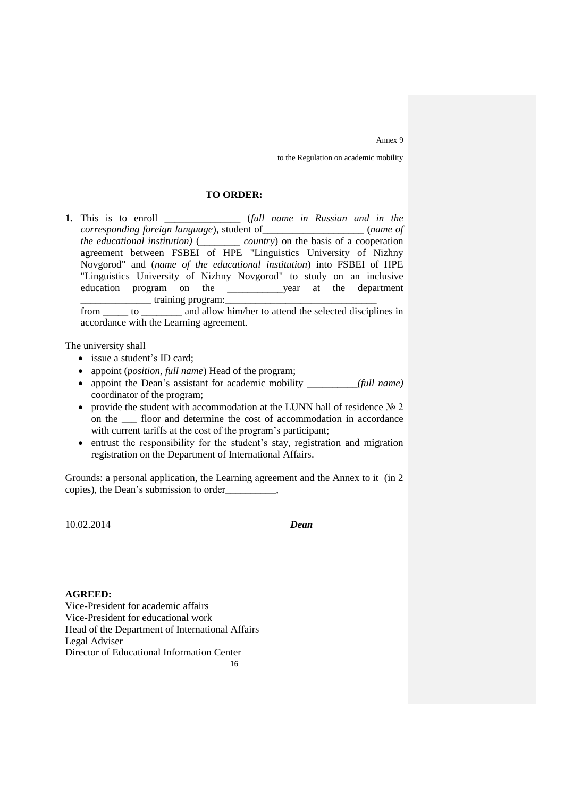Annex 9

to the Regulation on academic mobility

### **TO ORDER:**

**1.** This is to enroll \_\_\_\_\_\_\_\_\_\_\_\_\_\_\_ (*full name in Russian and in the corresponding foreign language*), student of\_\_\_\_\_\_\_\_\_\_\_\_\_\_\_\_\_\_\_\_ (*name of the educational institution)* (\_\_\_\_\_\_\_\_ *country*) on the basis of a cooperation agreement between FSBEI of HPE "Linguistics University of Nizhny Novgorod" and (*name of the educational institution*) into FSBEI of HPE "Linguistics University of Nizhny Novgorod" to study on an inclusive education program on the \_\_\_\_\_\_\_\_\_\_\_year at the department  $\Box$  training program:

from \_\_\_\_\_ to \_\_\_\_\_\_\_\_ and allow him/her to attend the selected disciplines in accordance with the Learning agreement.

The university shall

- issue a student's ID card;
- appoint (*position, full name*) Head of the program;
- appoint the Dean's assistant for academic mobility *\_\_\_\_\_\_\_\_(full name)* coordinator of the program;
- provide the student with accommodation at the LUNN hall of residence  $\mathcal{N}_2$  2 on the \_\_\_ floor and determine the cost of accommodation in accordance with current tariffs at the cost of the program's participant;
- entrust the responsibility for the student's stay, registration and migration registration on the Department of International Affairs.

Grounds: a personal application, the Learning аgreement and the Annex to it (in 2 copies), the Dean's submission to order\_\_\_\_\_\_\_\_\_\_,

10.02.2014 *Dean* 

#### **AGREED:**

Vice-President for academic affairs Vice-President for educational work Head of the Department of International Affairs Legal Adviser Director of Educational Information Center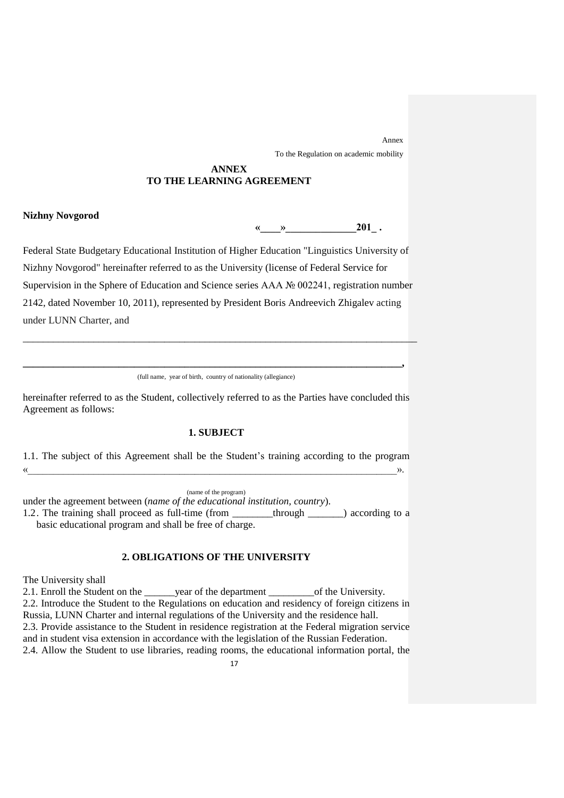Annex To the Regulation on academic mobility

#### **ANNEX TO THE LEARNING AGREEMENT**

#### **Nizhny Novgorod**

**«\_\_\_\_»\_\_\_\_\_\_\_\_\_\_\_\_\_\_201\_ .**

Federal State Budgetary Educational Institution of Higher Education "Linguistics University of Nizhny Novgorod" hereinafter referred to as the University (license of Federal Service for Supervision in the Sphere of Education and Science series ААА № 002241, registration number 2142, dated November 10, 2011), represented by President Boris Andreevich Zhigalev acting under LUNN Charter, and

\_\_\_\_\_\_\_\_\_\_\_\_\_\_\_\_\_\_\_\_\_\_\_\_\_\_\_\_\_\_\_\_\_\_\_\_\_\_\_\_\_\_\_\_\_\_\_\_\_\_\_\_\_\_\_\_\_\_\_\_\_\_\_\_\_\_\_\_\_\_\_\_\_\_\_\_\_\_

**\_\_\_\_\_\_\_\_\_\_\_\_\_\_\_\_\_\_\_\_\_\_\_\_\_\_\_\_\_\_\_\_\_\_\_\_\_\_\_\_\_\_\_\_\_\_\_\_\_\_\_\_\_\_\_\_\_\_\_\_\_\_\_\_\_\_\_\_\_\_\_\_\_\_\_,** (full name, year of birth, country of nationality (allegiance)

hereinafter referred to as the Student, collectively referred to as the Parties have concluded this Agreement as follows:

# **1. SUBJECT**

1.1. The subject of this Agreement shall be the Student's training according to the program  $\vee$   $\vee$ 

(name of the program)

under the agreement between (*name of the educational institution, country*).

1.2. The training shall proceed as full-time (from \_\_\_\_\_\_\_\_through \_\_\_\_\_\_\_) according to a basic educational program and shall be free of charge.

# **2. OBLIGATIONS OF THE UNIVERSITY**

The University shall

2.1. Enroll the Student on the \_\_\_\_\_\_year of the department \_\_\_\_\_\_\_\_\_of the University. 2.2. Introduce the Student to the Regulations on education and residency of foreign citizens in Russia, LUNN Charter and internal regulations of the University and the residence hall. 2.3. Provide assistance to the Student in residence registration at the Federal migration service and in student visa extension in accordance with the legislation of the Russian Federation. 2.4. Allow the Student to use libraries, reading rooms, the educational information portal, the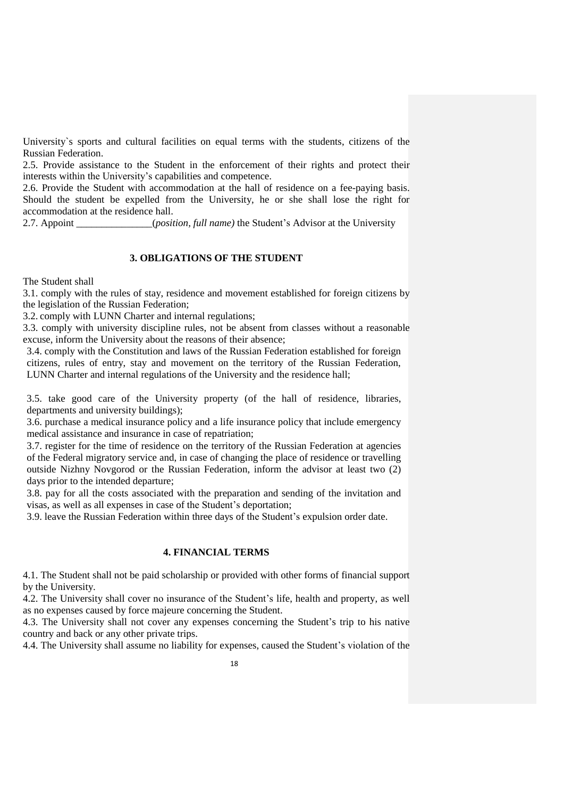University`s sports and cultural facilities on equal terms with the students, citizens of the Russian Federation.

2.5. Provide assistance to the Student in the enforcement of their rights and protect their interests within the University's capabilities and competence.

2.6. Provide the Student with accommodation at the hall of residence on a fee-paying basis. Should the student be expelled from the University, he or she shall lose the right for accommodation at the residence hall.

2.7. Appoint (*position, full name*) the Student's Advisor at the University

# **3. OBLIGATIONS OF THE STUDENT**

The Student shall

3.1. comply with the rules of stay, residence and movement established for foreign citizens by the legislation of the Russian Federation;

3.2. comply with LUNN Charter and internal regulations;

3.3. comply with university discipline rules, not be absent from classes without a reasonable excuse, inform the University about the reasons of their absence;

3.4. comply with the Constitution and laws of the Russian Federation established for foreign citizens, rules of entry, stay and movement on the territory of the Russian Federation, LUNN Charter and internal regulations of the University and the residence hall;

3.5. take good care of the University property (of the hall of residence, libraries, departments and university buildings);

3.6. purchase a medical insurance policy and a life insurance policy that include emergency medical assistance and insurance in case of repatriation;

3.7. register for the time of residence on the territory of the Russian Federation at agencies of the Federal migratory service and, in case of changing the place of residence or travelling outside Nizhny Novgorod or the Russian Federation, inform the advisor at least two (2) days prior to the intended departure;

3.8. pay for all the costs associated with the preparation and sending of the invitation and visas, as well as all expenses in case of the Student's deportation;

3.9. leave the Russian Federation within three days of the Student's expulsion order date.

# **4. FINANCIAL TERMS**

4.1. The Student shall not be paid scholarship or provided with other forms of financial support by the University.

4.2. The University shall cover no insurance of the Student's life, health and property, as well as no expenses caused by force majeure concerning the Student.

4.3. The University shall not cover any expenses concerning the Student's trip to his native country and back or any other private trips.

4.4. The University shall assume no liability for expenses, caused the Student's violation of the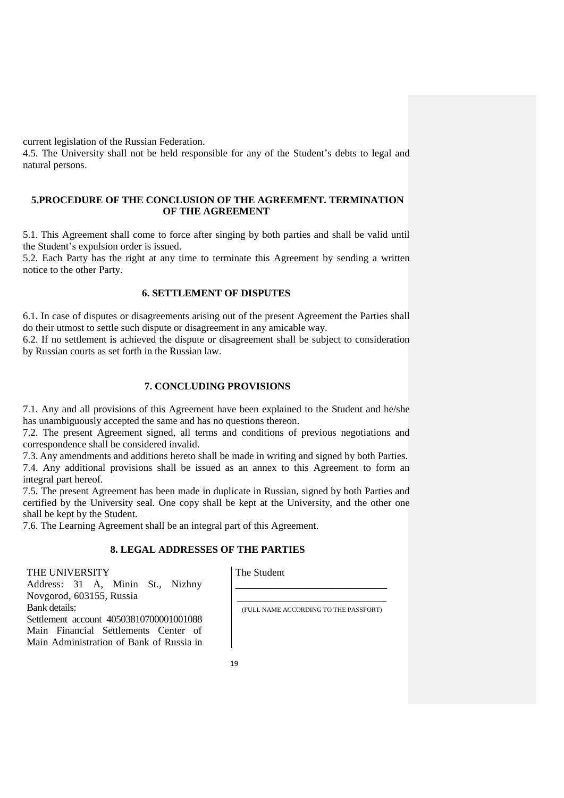current legislation of the Russian Federation.

4.5. The University shall not be held responsible for any of the Student's debts to legal and natural persons.

## **5.PROCEDURE OF THE CONCLUSION OF THE AGREEMENT. TERMINATION OF THE AGREEMENT**

5.1. This Agreement shall come to force after singing by both parties and shall be valid until the Student's expulsion order is issued.

5.2. Each Party has the right at any time to terminate this Agreement by sending a written notice to the other Party.

## **6. SETTLEMENT OF DISPUTES**

6.1. In case of disputes or disagreements arising out of the present Agreement the Parties shall do their utmost to settle such dispute or disagreement in any amicable way.

6.2. If no settlement is achieved the dispute or disagreement shall be subject to consideration by Russian courts as set forth in the Russian law.

# **7. CONCLUDING PROVISIONS**

7.1. Any and all provisions of this Agreement have been explained to the Student and he/she has unambiguously accepted the same and has no questions thereon.

7.2. The present Agreement signed, all terms and conditions of previous negotiations and correspondence shall be considered invalid.

7.3. Any amendments and additions hereto shall be made in writing and signed by both Parties. 7.4. Any additional provisions shall be issued as an annex to this Agreement to form an integral part hereof.

7.5. The present Agreement has been made in duplicate in Russian, signed by both Parties and certified by the University seal. One copy shall be kept at the University, and the other one shall be kept by the Student.

7.6. The Learning Agreement shall be an integral part of this Agreement.

# **8. LEGAL ADDRESSES OF THE PARTIES**

## THE UNIVERSITY

Bank details:

Novgorod, 603155, Russia

Address: 31 A, Minin St., Nizhny

Settlement account 40503810700001001088 Main Financial Settlements Center of Main Administration of Bank of Russia in The Student

 $\_$  ,  $\_$  ,  $\_$  ,  $\_$  ,  $\_$  ,  $\_$  ,  $\_$  ,  $\_$  ,  $\_$  ,  $\_$  ,  $\_$  ,  $\_$  ,  $\_$  ,  $\_$ (FULL NAME ACCORDING TO THE PASSPORT)

\_\_\_\_\_\_\_\_\_\_\_\_\_\_\_\_\_\_\_\_\_\_\_\_\_\_\_\_\_\_